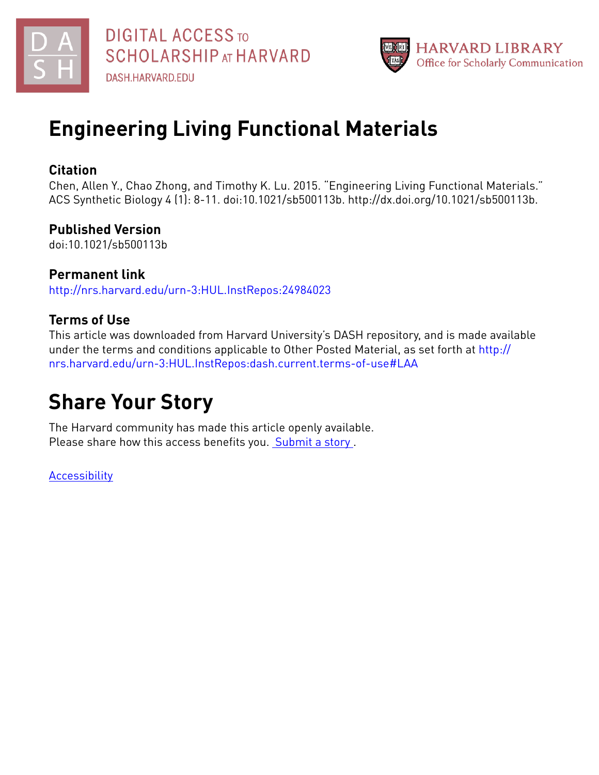



# **Engineering Living Functional Materials**

## **Citation**

Chen, Allen Y., Chao Zhong, and Timothy K. Lu. 2015. "Engineering Living Functional Materials." ACS Synthetic Biology 4 (1): 8-11. doi:10.1021/sb500113b. http://dx.doi.org/10.1021/sb500113b.

### **Published Version**

doi:10.1021/sb500113b

**Permanent link** <http://nrs.harvard.edu/urn-3:HUL.InstRepos:24984023>

## **Terms of Use**

This article was downloaded from Harvard University's DASH repository, and is made available under the terms and conditions applicable to Other Posted Material, as set forth at [http://](http://nrs.harvard.edu/urn-3:HUL.InstRepos:dash.current.terms-of-use#LAA) [nrs.harvard.edu/urn-3:HUL.InstRepos:dash.current.terms-of-use#LAA](http://nrs.harvard.edu/urn-3:HUL.InstRepos:dash.current.terms-of-use#LAA)

# **Share Your Story**

The Harvard community has made this article openly available. Please share how this access benefits you. [Submit](http://osc.hul.harvard.edu/dash/open-access-feedback?handle=&title=Engineering%20Living%20Functional%20Materials&community=1/1&collection=1/2&owningCollection1/2&harvardAuthors=&department) a story.

**[Accessibility](https://dash.harvard.edu/pages/accessibility)**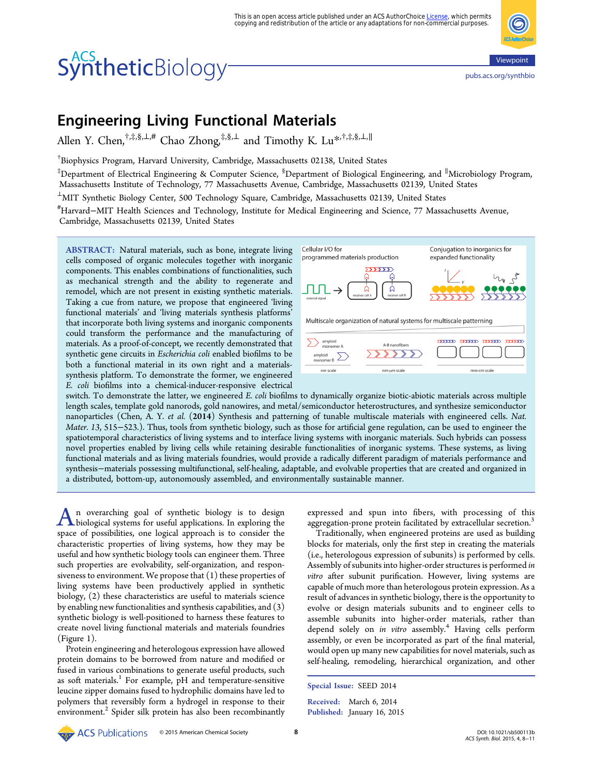# **SyntheticBiology**

# Engineering Living Functional Materials

Allen Y. Chen,†,‡,§,⊥,# Chao Zhong,‡,§,<sup>⊥</sup> and Timothy K. Lu[\\*](#page-4-0),†,‡,§,⊥,<sup>∥</sup>

† Biophysics Program, Harvard University, Cambridge, Massachusetts 02138, United States

‡Department of Electrical Engineering & Computer Science, <sup>§</sup>Department of Biological Engineering, and <sup>∥</sup>Microbiology Program, Massachusetts Institute of Technology, 77 Massachusetts Avenue, Cambridge, Massachusetts 02139, United States

<sup>⊥</sup>MIT Synthetic Biology Center, 500 Technology Square, Cambridge, Massachusetts 02139, United States

# Harvard−MIT Health Sciences and Technology, Institute for Medical Engineering and Science, 77 Massachusetts Avenue, Cambridge, Massachusetts 02139, United States

ABSTRACT: Natural materials, such as bone, integrate living cells composed of organic molecules together with inorganic components. This enables combinations of functionalities, such as mechanical strength and the ability to regenerate and remodel, which are not present in existing synthetic materials. Taking a cue from nature, we propose that engineered 'living functional materials' and 'living materials synthesis platforms' that incorporate both living systems and inorganic components could transform the performance and the manufacturing of materials. As a proof-of-concept, we recently demonstrated that synthetic gene circuits in Escherichia coli enabled biofilms to be both a functional material in its own right and a materialssynthesis platform. To demonstrate the former, we engineered E. coli biofilms into a chemical-inducer-responsive electrical



switch. To demonstrate the latter, we engineered E. coli biofilms to dynamically organize biotic-abiotic materials across multiple length scales, template gold nanorods, gold nanowires, and metal/semiconductor heterostructures, and synthesize semiconductor nanoparticles (Chen, A. Y. et al. (2014) Synthesis and patterning of tunable multiscale materials with engineered cells. Nat. Mater. 13, 515−523.). Thus, tools from synthetic biology, such as those for artificial gene regulation, can be used to engineer the spatiotemporal characteristics of living systems and to interface living systems with inorganic materials. Such hybrids can possess novel properties enabled by living cells while retaining desirable functionalities of inorganic systems. These systems, as living functional materials and as living materials foundries, would provide a radically different paradigm of materials performance and synthesis−materials possessing multifunctional, self-healing, adaptable, and evolvable properties that are created and organized in a distributed, bottom-up, autonomously assembled, and environmentally sustainable manner.

An overarching goal of synthetic biology is to design<br>biological systems for useful applications. In exploring the<br>space of possibilities, one logical approach is to consider the space of possibilities, one logical approach is to consider the characteristic properties of living systems, how they may be useful and how synthetic biology tools can engineer them. Three such properties are evolvability, self-organization, and responsiveness to environment. We propose that  $(1)$  these properties of living systems have been productively applied in synthetic biology, (2) these characteristics are useful to materials science by enabling new functionalities and synthesis capabilities, and (3) synthetic biology is well-positioned to harness these features to create novel living functional materials and materials foundries (Figure [1\)](#page-2-0).

Protein engineering and heterologous expression have allowed protein domains to be borrowed from nature and modified or fused in various combinations to generate useful products, such as soft materials. $1$  For example, pH and temperature-sensitive leucine zipper domains fused to hydrophilic domains have led to polymers that reversibly form a hydrogel in response to their environment.<sup>[2](#page-4-0)</sup> Spider silk protein has also been recombinantly expressed and spun into fibers, with processing of this aggregation-prone protein facilitated by extracellular secretion.<sup>[3](#page-4-0)</sup>

Traditionally, when engineered proteins are used as building blocks for materials, only the first step in creating the materials (i.e., heterologous expression of subunits) is performed by cells. Assembly of subunits into higher-order structures is performed in vitro after subunit purification. However, living systems are capable of much more than heterologous protein expression. As a result of advances in synthetic biology, there is the opportunity to evolve or design materials subunits and to engineer cells to assemble subunits into higher-order materials, rather than depend solely on in vitro assembly.<sup>[4](#page-4-0)</sup> Having cells perform assembly, or even be incorporated as part of the final material, would open up many new capabilities for novel materials, such as self-healing, remodeling, hierarchical organization, and other

Received: March 6, 2014 Published: January 16, 2015

Special Issue: SEED 2014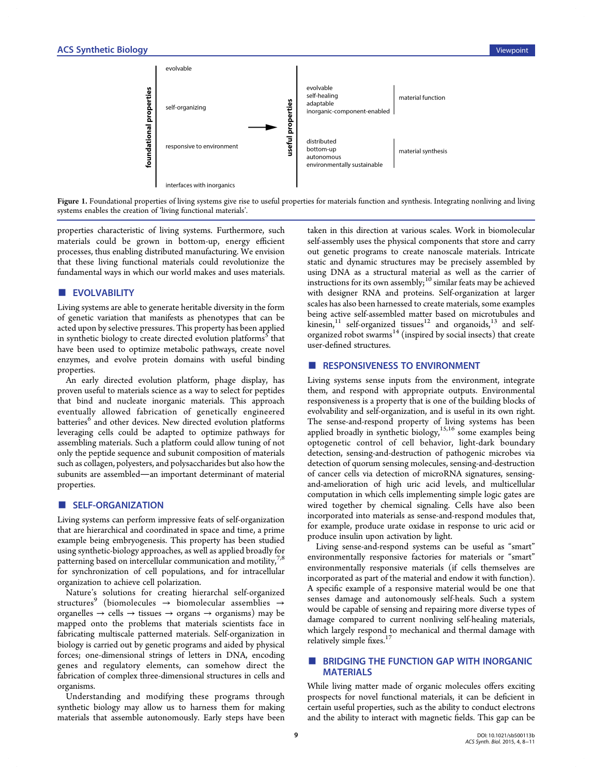<span id="page-2-0"></span>

Figure 1. Foundational properties of living systems give rise to useful properties for materials function and synthesis. Integrating nonliving and living systems enables the creation of 'living functional materials'.

properties characteristic of living systems. Furthermore, such materials could be grown in bottom-up, energy efficient processes, thus enabling distributed manufacturing. We envision that these living functional materials could revolutionize the fundamental ways in which our world makes and uses materials.

#### **EVOLVABILITY**

Living systems are able to generate heritable diversity in the form of genetic variation that manifests as phenotypes that can be acted upon by selective pressures. This property has been applied in synthetic biology to create directed evolution platforms<sup>[5](#page-4-0)</sup> that have been used to optimize metabolic pathways, create novel enzymes, and evolve protein domains with useful binding properties.

An early directed evolution platform, phage display, has proven useful to materials science as a way to select for peptides that bind and nucleate inorganic materials. This approach eventually allowed fabrication of genetically engineered batteries<sup>[6](#page-4-0)</sup> and other devices. New directed evolution platforms leveraging cells could be adapted to optimize pathways for assembling materials. Such a platform could allow tuning of not only the peptide sequence and subunit composition of materials such as collagen, polyesters, and polysaccharides but also how the subunits are assembled—an important determinant of material properties.

#### ■ SELF-ORGANIZATION

Living systems can perform impressive feats of self-organization that are hierarchical and coordinated in space and time, a prime example being embryogenesis. This property has been studied using synthetic-biology approaches, as well as applied broadly for patterning based on intercellular communication and motility,  $7,8$  $7,8$  $7,8$ for synchronization of cell populations, and for intracellular organization to achieve cell polarization.

Nature's solutions for creating hierarchal self-organized structures<sup>[9](#page-4-0)</sup> (biomolecules  $\rightarrow$  biomolecular assemblies  $\rightarrow$ organelles  $\rightarrow$  cells  $\rightarrow$  tissues  $\rightarrow$  organs  $\rightarrow$  organisms) may be mapped onto the problems that materials scientists face in fabricating multiscale patterned materials. Self-organization in biology is carried out by genetic programs and aided by physical forces; one-dimensional strings of letters in DNA, encoding genes and regulatory elements, can somehow direct the fabrication of complex three-dimensional structures in cells and organisms.

Understanding and modifying these programs through synthetic biology may allow us to harness them for making materials that assemble autonomously. Early steps have been

taken in this direction at various scales. Work in biomolecular self-assembly uses the physical components that store and carry out genetic programs to create nanoscale materials. Intricate static and dynamic structures may be precisely assembled by using DNA as a structural material as well as the carrier of instructions for its own assembly; $^{10}$  $^{10}$  $^{10}$  similar feats may be achieved with designer RNA and proteins. Self-organization at larger scales has also been harnessed to create materials, some examples being active self-assembled matter based on microtubules and  $kinesin,$ <sup>[11](#page-4-0)</sup> self-organized tissues<sup>12</sup> and organoids,<sup>[13](#page-4-0)</sup> and self-organized robot swarms<sup>[14](#page-4-0)</sup> (inspired by social insects) that create user-defined structures.

#### ■ RESPONSIVENESS TO ENVIRONMENT

Living systems sense inputs from the environment, integrate them, and respond with appropriate outputs. Environmental responsiveness is a property that is one of the building blocks of evolvability and self-organization, and is useful in its own right. The sense-and-respond property of living systems has been applied broadly in synthetic biology, $15,16$  $15,16$  $15,16$  some examples being optogenetic control of cell behavior, light-dark boundary detection, sensing-and-destruction of pathogenic microbes via detection of quorum sensing molecules, sensing-and-destruction of cancer cells via detection of microRNA signatures, sensingand-amelioration of high uric acid levels, and multicellular computation in which cells implementing simple logic gates are wired together by chemical signaling. Cells have also been incorporated into materials as sense-and-respond modules that, for example, produce urate oxidase in response to uric acid or produce insulin upon activation by light.

Living sense-and-respond systems can be useful as "smart" environmentally responsive factories for materials or "smart" environmentally responsive materials (if cells themselves are incorporated as part of the material and endow it with function). A specific example of a responsive material would be one that senses damage and autonomously self-heals. Such a system would be capable of sensing and repairing more diverse types of damage compared to current nonliving self-healing materials, which largely respond to mechanical and thermal damage with relatively simple fixes. $17$ 

#### BRIDGING THE FUNCTION GAP WITH INORGANIC **MATERIALS**

While living matter made of organic molecules offers exciting prospects for novel functional materials, it can be deficient in certain useful properties, such as the ability to conduct electrons and the ability to interact with magnetic fields. This gap can be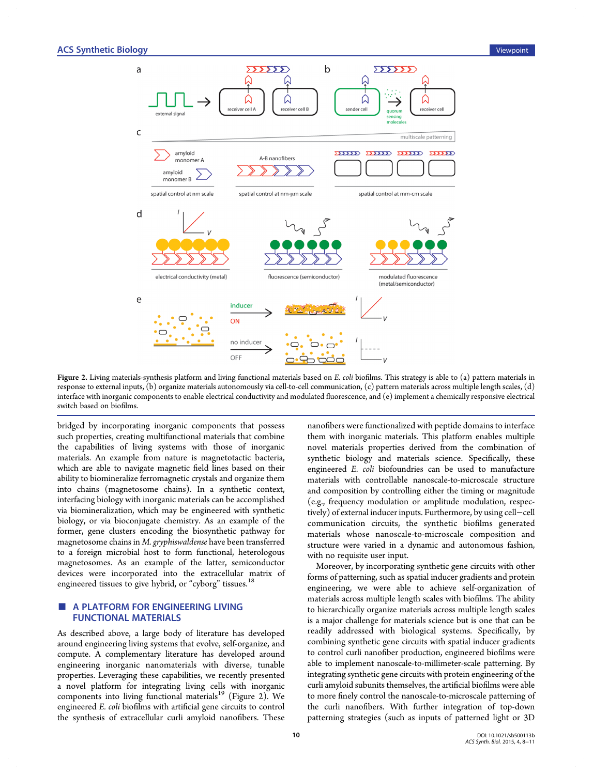

Figure 2. Living materials-synthesis platform and living functional materials based on E. coli biofilms. This strategy is able to (a) pattern materials in response to external inputs, (b) organize materials autonomously via cell-to-cell communication, (c) pattern materials across multiple length scales, (d) interface with inorganic components to enable electrical conductivity and modulated fluorescence, and (e) implement a chemically responsive electrical switch based on biofilms.

bridged by incorporating inorganic components that possess such properties, creating multifunctional materials that combine the capabilities of living systems with those of inorganic materials. An example from nature is magnetotactic bacteria, which are able to navigate magnetic field lines based on their ability to biomineralize ferromagnetic crystals and organize them into chains (magnetosome chains). In a synthetic context, interfacing biology with inorganic materials can be accomplished via biomineralization, which may be engineered with synthetic biology, or via bioconjugate chemistry. As an example of the former, gene clusters encoding the biosynthetic pathway for magnetosome chains in M. gryphiswaldense have been transferred to a foreign microbial host to form functional, heterologous magnetosomes. As an example of the latter, semiconductor devices were incorporated into the extracellular matrix of engineered tissues to give hybrid, or "cyborg" tissues.<sup>[18](#page-4-0)</sup>

#### ■ A PLATFORM FOR ENGINEERING LIVING FUNCTIONAL MATERIALS

As described above, a large body of literature has developed around engineering living systems that evolve, self-organize, and compute. A complementary literature has developed around engineering inorganic nanomaterials with diverse, tunable properties. Leveraging these capabilities, we recently presented a novel platform for integrating living cells with inorganic components into living functional materials<sup>[19](#page-4-0)</sup> (Figure 2). We engineered E. coli biofilms with artificial gene circuits to control the synthesis of extracellular curli amyloid nanofibers. These

nanofibers were functionalized with peptide domains to interface them with inorganic materials. This platform enables multiple novel materials properties derived from the combination of synthetic biology and materials science. Specifically, these engineered E. coli biofoundries can be used to manufacture materials with controllable nanoscale-to-microscale structure and composition by controlling either the timing or magnitude (e.g., frequency modulation or amplitude modulation, respectively) of external inducer inputs. Furthermore, by using cell−cell communication circuits, the synthetic biofilms generated materials whose nanoscale-to-microscale composition and structure were varied in a dynamic and autonomous fashion, with no requisite user input.

Moreover, by incorporating synthetic gene circuits with other forms of patterning, such as spatial inducer gradients and protein engineering, we were able to achieve self-organization of materials across multiple length scales with biofilms. The ability to hierarchically organize materials across multiple length scales is a major challenge for materials science but is one that can be readily addressed with biological systems. Specifically, by combining synthetic gene circuits with spatial inducer gradients to control curli nanofiber production, engineered biofilms were able to implement nanoscale-to-millimeter-scale patterning. By integrating synthetic gene circuits with protein engineering of the curli amyloid subunits themselves, the artificial biofilms were able to more finely control the nanoscale-to-microscale patterning of the curli nanofibers. With further integration of top-down patterning strategies (such as inputs of patterned light or 3D